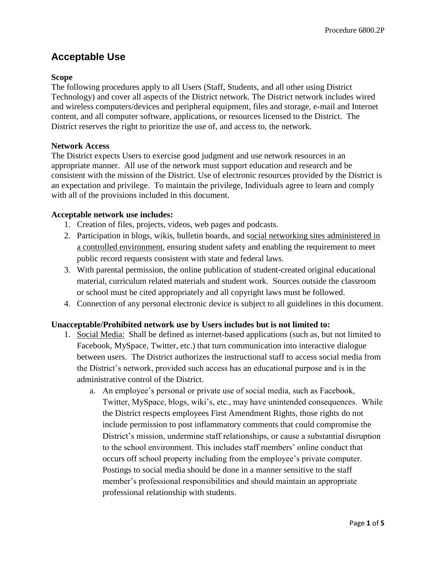# **Acceptable Use**

# **Scope**

The following procedures apply to all Users (Staff, Students, and all other using District Technology) and cover all aspects of the District network. The District network includes wired and wireless computers/devices and peripheral equipment, files and storage, e-mail and Internet content, and all computer software, applications, or resources licensed to the District. The District reserves the right to prioritize the use of, and access to, the network.

# **Network Access**

The District expects Users to exercise good judgment and use network resources in an appropriate manner. All use of the network must support education and research and be consistent with the mission of the District. Use of electronic resources provided by the District is an expectation and privilege. To maintain the privilege, Individuals agree to learn and comply with all of the provisions included in this document.

# **Acceptable network use includes:**

- 1. Creation of files, projects, videos, web pages and podcasts.
- 2. Participation in blogs, wikis, bulletin boards, and social networking sites administered in a controlled environment, ensuring student safety and enabling the requirement to meet public record requests consistent with state and federal laws.
- 3. With parental permission, the online publication of student-created original educational material, curriculum related materials and student work. Sources outside the classroom or school must be cited appropriately and all copyright laws must be followed.
- 4. Connection of any personal electronic device is subject to all guidelines in this document.

# **Unacceptable/Prohibited network use by Users includes but is not limited to:**

- 1. Social Media: Shall be defined as internet-based applications (such as, but not limited to Facebook, MySpace, Twitter, etc.) that turn communication into interactive dialogue between users. The District authorizes the instructional staff to access social media from the District's network, provided such access has an educational purpose and is in the administrative control of the District.
	- a. An employee's personal or private use of social media, such as Facebook, Twitter, MySpace, blogs, wiki's, etc., may have unintended consequences. While the District respects employees First Amendment Rights, those rights do not include permission to post inflammatory comments that could compromise the District's mission, undermine staff relationships, or cause a substantial disruption to the school environment. This includes staff members' online conduct that occurs off school property including from the employee's private computer. Postings to social media should be done in a manner sensitive to the staff member's professional responsibilities and should maintain an appropriate professional relationship with students.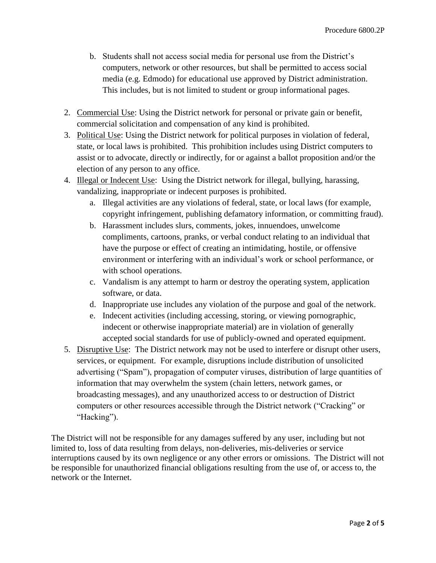- b. Students shall not access social media for personal use from the District's computers, network or other resources, but shall be permitted to access social media (e.g. Edmodo) for educational use approved by District administration. This includes, but is not limited to student or group informational pages.
- 2. Commercial Use: Using the District network for personal or private gain or benefit, commercial solicitation and compensation of any kind is prohibited.
- 3. Political Use: Using the District network for political purposes in violation of federal, state, or local laws is prohibited. This prohibition includes using District computers to assist or to advocate, directly or indirectly, for or against a ballot proposition and/or the election of any person to any office.
- 4. Illegal or Indecent Use: Using the District network for illegal, bullying, harassing, vandalizing, inappropriate or indecent purposes is prohibited.
	- a. Illegal activities are any violations of federal, state, or local laws (for example, copyright infringement, publishing defamatory information, or committing fraud).
	- b. Harassment includes slurs, comments, jokes, innuendoes, unwelcome compliments, cartoons, pranks, or verbal conduct relating to an individual that have the purpose or effect of creating an intimidating, hostile, or offensive environment or interfering with an individual's work or school performance, or with school operations.
	- c. Vandalism is any attempt to harm or destroy the operating system, application software, or data.
	- d. Inappropriate use includes any violation of the purpose and goal of the network.
	- e. Indecent activities (including accessing, storing, or viewing pornographic, indecent or otherwise inappropriate material) are in violation of generally accepted social standards for use of publicly-owned and operated equipment.
- 5. Disruptive Use: The District network may not be used to interfere or disrupt other users, services, or equipment. For example, disruptions include distribution of unsolicited advertising ("Spam"), propagation of computer viruses, distribution of large quantities of information that may overwhelm the system (chain letters, network games, or broadcasting messages), and any unauthorized access to or destruction of District computers or other resources accessible through the District network ("Cracking" or "Hacking").

The District will not be responsible for any damages suffered by any user, including but not limited to, loss of data resulting from delays, non-deliveries, mis-deliveries or service interruptions caused by its own negligence or any other errors or omissions. The District will not be responsible for unauthorized financial obligations resulting from the use of, or access to, the network or the Internet.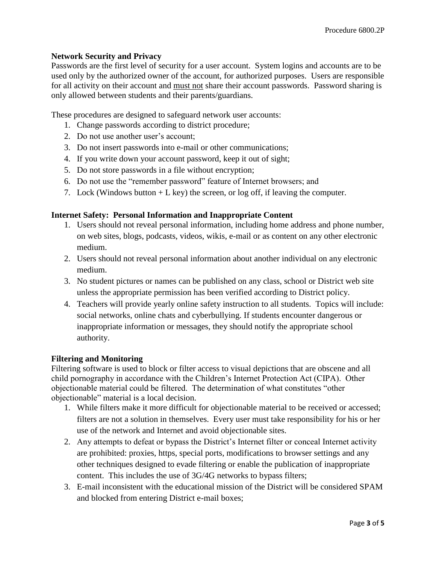# **Network Security and Privacy**

Passwords are the first level of security for a user account. System logins and accounts are to be used only by the authorized owner of the account, for authorized purposes. Users are responsible for all activity on their account and must not share their account passwords. Password sharing is only allowed between students and their parents/guardians.

These procedures are designed to safeguard network user accounts:

- 1. Change passwords according to district procedure;
- 2. Do not use another user's account;
- 3. Do not insert passwords into e-mail or other communications;
- 4. If you write down your account password, keep it out of sight;
- 5. Do not store passwords in a file without encryption;
- 6. Do not use the "remember password" feature of Internet browsers; and
- 7. Lock (Windows button  $+ L$  key) the screen, or log off, if leaving the computer.

## **Internet Safety: Personal Information and Inappropriate Content**

- 1. Users should not reveal personal information, including home address and phone number, on web sites, blogs, podcasts, videos, wikis, e-mail or as content on any other electronic medium.
- 2. Users should not reveal personal information about another individual on any electronic medium.
- 3. No student pictures or names can be published on any class, school or District web site unless the appropriate permission has been verified according to District policy.
- 4. Teachers will provide yearly online safety instruction to all students. Topics will include: social networks, online chats and cyberbullying. If students encounter dangerous or inappropriate information or messages, they should notify the appropriate school authority.

## **Filtering and Monitoring**

Filtering software is used to block or filter access to visual depictions that are obscene and all child pornography in accordance with the Children's Internet Protection Act (CIPA). Other objectionable material could be filtered. The determination of what constitutes "other objectionable" material is a local decision.

- 1. While filters make it more difficult for objectionable material to be received or accessed; filters are not a solution in themselves. Every user must take responsibility for his or her use of the network and Internet and avoid objectionable sites.
- 2. Any attempts to defeat or bypass the District's Internet filter or conceal Internet activity are prohibited: proxies, https, special ports, modifications to browser settings and any other techniques designed to evade filtering or enable the publication of inappropriate content. This includes the use of 3G/4G networks to bypass filters;
- 3. E-mail inconsistent with the educational mission of the District will be considered SPAM and blocked from entering District e-mail boxes;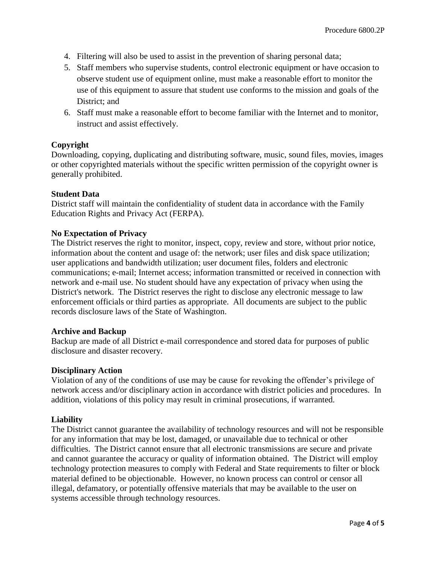- 4. Filtering will also be used to assist in the prevention of sharing personal data;
- 5. Staff members who supervise students, control electronic equipment or have occasion to observe student use of equipment online, must make a reasonable effort to monitor the use of this equipment to assure that student use conforms to the mission and goals of the District; and
- 6. Staff must make a reasonable effort to become familiar with the Internet and to monitor, instruct and assist effectively.

# **Copyright**

Downloading, copying, duplicating and distributing software, music, sound files, movies, images or other copyrighted materials without the specific written permission of the copyright owner is generally prohibited.

## **Student Data**

District staff will maintain the confidentiality of student data in accordance with the Family Education Rights and Privacy Act (FERPA).

#### **No Expectation of Privacy**

The District reserves the right to monitor, inspect, copy, review and store, without prior notice, information about the content and usage of: the network; user files and disk space utilization; user applications and bandwidth utilization; user document files, folders and electronic communications; e-mail; Internet access; information transmitted or received in connection with network and e-mail use. No student should have any expectation of privacy when using the District's network. The District reserves the right to disclose any electronic message to law enforcement officials or third parties as appropriate. All documents are subject to the public records disclosure laws of the State of Washington.

#### **Archive and Backup**

Backup are made of all District e-mail correspondence and stored data for purposes of public disclosure and disaster recovery.

#### **Disciplinary Action**

Violation of any of the conditions of use may be cause for revoking the offender's privilege of network access and/or disciplinary action in accordance with district policies and procedures. In addition, violations of this policy may result in criminal prosecutions, if warranted.

## **Liability**

The District cannot guarantee the availability of technology resources and will not be responsible for any information that may be lost, damaged, or unavailable due to technical or other difficulties. The District cannot ensure that all electronic transmissions are secure and private and cannot guarantee the accuracy or quality of information obtained. The District will employ technology protection measures to comply with Federal and State requirements to filter or block material defined to be objectionable. However, no known process can control or censor all illegal, defamatory, or potentially offensive materials that may be available to the user on systems accessible through technology resources.